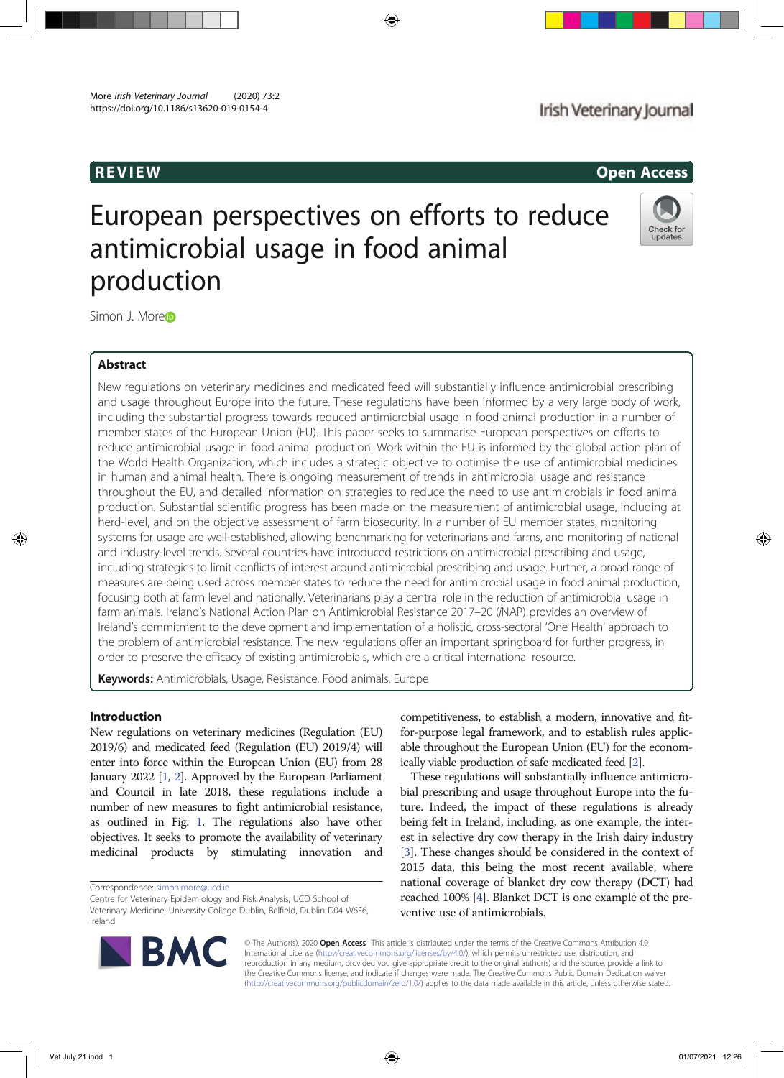### REVIEW Open Access

# European perspectives on efforts to reduce antimicrobial usage in food animal production



Simon J. More<sub>D</sub>

### Abstract

New regulations on veterinary medicines and medicated feed will substantially influence antimicrobial prescribing and usage throughout Europe into the future. These regulations have been informed by a very large body of work, including the substantial progress towards reduced antimicrobial usage in food animal production in a number of member states of the European Union (EU). This paper seeks to summarise European perspectives on efforts to reduce antimicrobial usage in food animal production. Work within the EU is informed by the global action plan of the World Health Organization, which includes a strategic objective to optimise the use of antimicrobial medicines in human and animal health. There is ongoing measurement of trends in antimicrobial usage and resistance throughout the EU, and detailed information on strategies to reduce the need to use antimicrobials in food animal production. Substantial scientific progress has been made on the measurement of antimicrobial usage, including at herd-level, and on the objective assessment of farm biosecurity. In a number of EU member states, monitoring systems for usage are well-established, allowing benchmarking for veterinarians and farms, and monitoring of national and industry-level trends. Several countries have introduced restrictions on antimicrobial prescribing and usage, including strategies to limit conflicts of interest around antimicrobial prescribing and usage. Further, a broad range of measures are being used across member states to reduce the need for antimicrobial usage in food animal production, focusing both at farm level and nationally. Veterinarians play a central role in the reduction of antimicrobial usage in farm animals. Ireland's National Action Plan on Antimicrobial Resistance 2017–20 (iNAP) provides an overview of Ireland's commitment to the development and implementation of a holistic, cross-sectoral 'One Health' approach to the problem of antimicrobial resistance. The new regulations offer an important springboard for further progress, in order to preserve the efficacy of existing antimicrobials, which are a critical international resource.

Keywords: Antimicrobials, Usage, Resistance, Food animals, Europe

### Introduction

New regulations on veterinary medicines (Regulation (EU) 2019/6) and medicated feed (Regulation (EU) 2019/4) will enter into force within the European Union (EU) from 28 January 2022 [1, 2]. Approved by the European Parliament and Council in late 2018, these regulations include a number of new measures to fight antimicrobial resistance, as outlined in Fig. 1. The regulations also have other objectives. It seeks to promote the availability of veterinary medicinal products by stimulating innovation and

competitiveness, to establish a modern, innovative and fitfor-purpose legal framework, and to establish rules applicable throughout the European Union (EU) for the economically viable production of safe medicated feed [2].

These regulations will substantially influence antimicrobial prescribing and usage throughout Europe into the future. Indeed, the impact of these regulations is already being felt in Ireland, including, as one example, the interest in selective dry cow therapy in the Irish dairy industry [3]. These changes should be considered in the context of 2015 data, this being the most recent available, where national coverage of blanket dry cow therapy (DCT) had reached 100% [4]. Blanket DCT is one example of the preventive use of antimicrobials.

© The Author(s). 2020 Open Access This article is distributed under the terms of the Creative Commons Attribution 4.0 International License (http://creativecommons.org/licenses/by/4.0/), which permits unrestricted use, distribution, and reproduction in any medium, provided you give appropriate credit to the original author(s) and the source, provide a link to the Creative Commons license, and indicate if changes were made. The Creative Commons Public Domain Dedication waiver (http://creativecommons.org/publicdomain/zero/1.0/) applies to the data made available in this article, unless otherwise stated.



Correspondence: simon.more@ucd.ie

Centre for Veterinary Epidemiology and Risk Analysis, UCD School of Veterinary Medicine, University College Dublin, Belfield, Dublin D04 W6F6, Ireland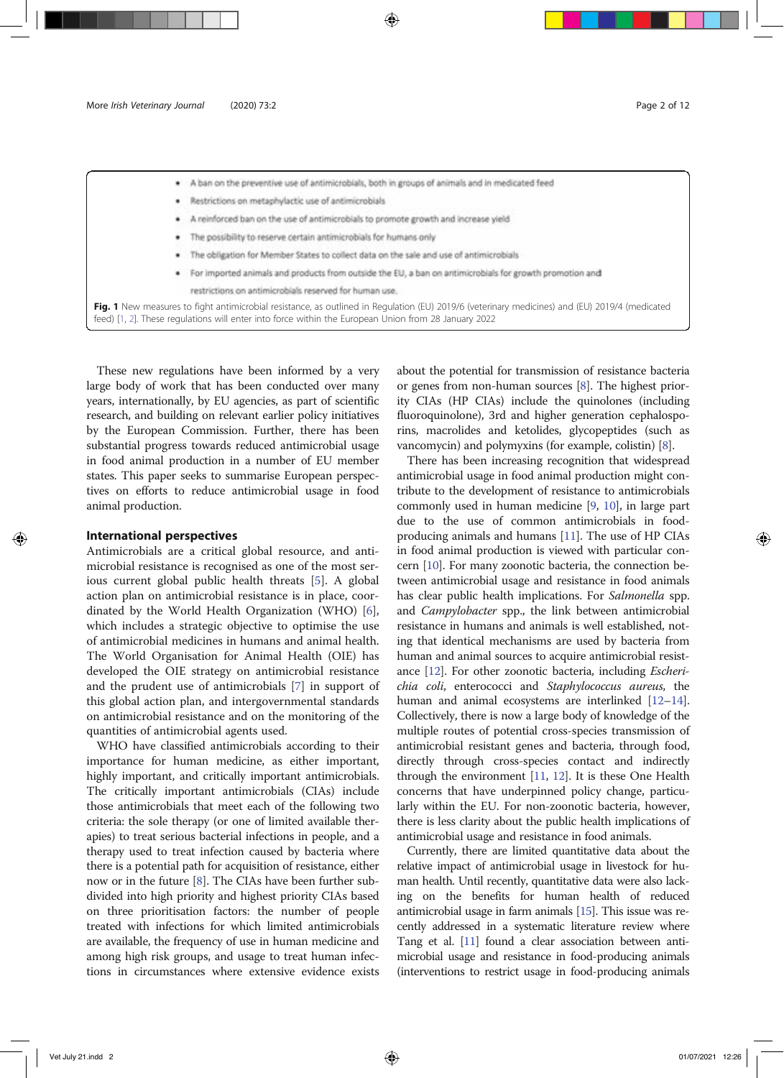

- Restrictions on metaphylactic use of antimicrobials
- A reinforced ban on the use of antimicrobials to promote growth and increase yield
- The possibility to reserve certain antimicrobials for humans only
- The obligation for Member States to collect data on the sale and use of antimicrobials
- For imported animals and products from outside the EU, a ban on antimicrobials for growth promotion and restrictions on antimicrobials reserved for human use.

Fig. 1 New measures to fight antimicrobial resistance, as outlined in Regulation (EU) 2019/6 (veterinary medicines) and (EU) 2019/4 (medicated feed) [1, 2]. These regulations will enter into force within the European Union from 28 January 2022

These new regulations have been informed by a very large body of work that has been conducted over many years, internationally, by EU agencies, as part of scientific research, and building on relevant earlier policy initiatives by the European Commission. Further, there has been substantial progress towards reduced antimicrobial usage in food animal production in a number of EU member states. This paper seeks to summarise European perspectives on efforts to reduce antimicrobial usage in food animal production.

### International perspectives

Antimicrobials are a critical global resource, and antimicrobial resistance is recognised as one of the most serious current global public health threats [5]. A global action plan on antimicrobial resistance is in place, coordinated by the World Health Organization (WHO) [6], which includes a strategic objective to optimise the use of antimicrobial medicines in humans and animal health. The World Organisation for Animal Health (OIE) has developed the OIE strategy on antimicrobial resistance and the prudent use of antimicrobials [7] in support of this global action plan, and intergovernmental standards on antimicrobial resistance and on the monitoring of the quantities of antimicrobial agents used.

WHO have classified antimicrobials according to their importance for human medicine, as either important, highly important, and critically important antimicrobials. The critically important antimicrobials (CIAs) include those antimicrobials that meet each of the following two criteria: the sole therapy (or one of limited available therapies) to treat serious bacterial infections in people, and a therapy used to treat infection caused by bacteria where there is a potential path for acquisition of resistance, either now or in the future [8]. The CIAs have been further subdivided into high priority and highest priority CIAs based on three prioritisation factors: the number of people treated with infections for which limited antimicrobials are available, the frequency of use in human medicine and among high risk groups, and usage to treat human infections in circumstances where extensive evidence exists about the potential for transmission of resistance bacteria or genes from non-human sources [8]. The highest priority CIAs (HP CIAs) include the quinolones (including fluoroquinolone), 3rd and higher generation cephalosporins, macrolides and ketolides, glycopeptides (such as vancomycin) and polymyxins (for example, colistin) [8].

There has been increasing recognition that widespread antimicrobial usage in food animal production might contribute to the development of resistance to antimicrobials commonly used in human medicine [9, 10], in large part due to the use of common antimicrobials in foodproducing animals and humans [11]. The use of HP CIAs in food animal production is viewed with particular concern [10]. For many zoonotic bacteria, the connection between antimicrobial usage and resistance in food animals has clear public health implications. For Salmonella spp. and Campylobacter spp., the link between antimicrobial resistance in humans and animals is well established, noting that identical mechanisms are used by bacteria from human and animal sources to acquire antimicrobial resistance [12]. For other zoonotic bacteria, including Escherichia coli, enterococci and Staphylococcus aureus, the human and animal ecosystems are interlinked [12-14]. Collectively, there is now a large body of knowledge of the multiple routes of potential cross-species transmission of antimicrobial resistant genes and bacteria, through food, directly through cross-species contact and indirectly through the environment [11, 12]. It is these One Health concerns that have underpinned policy change, particularly within the EU. For non-zoonotic bacteria, however, there is less clarity about the public health implications of antimicrobial usage and resistance in food animals.

Currently, there are limited quantitative data about the relative impact of antimicrobial usage in livestock for human health. Until recently, quantitative data were also lacking on the benefits for human health of reduced antimicrobial usage in farm animals [15]. This issue was recently addressed in a systematic literature review where Tang et al. [11] found a clear association between antimicrobial usage and resistance in food-producing animals (interventions to restrict usage in food-producing animals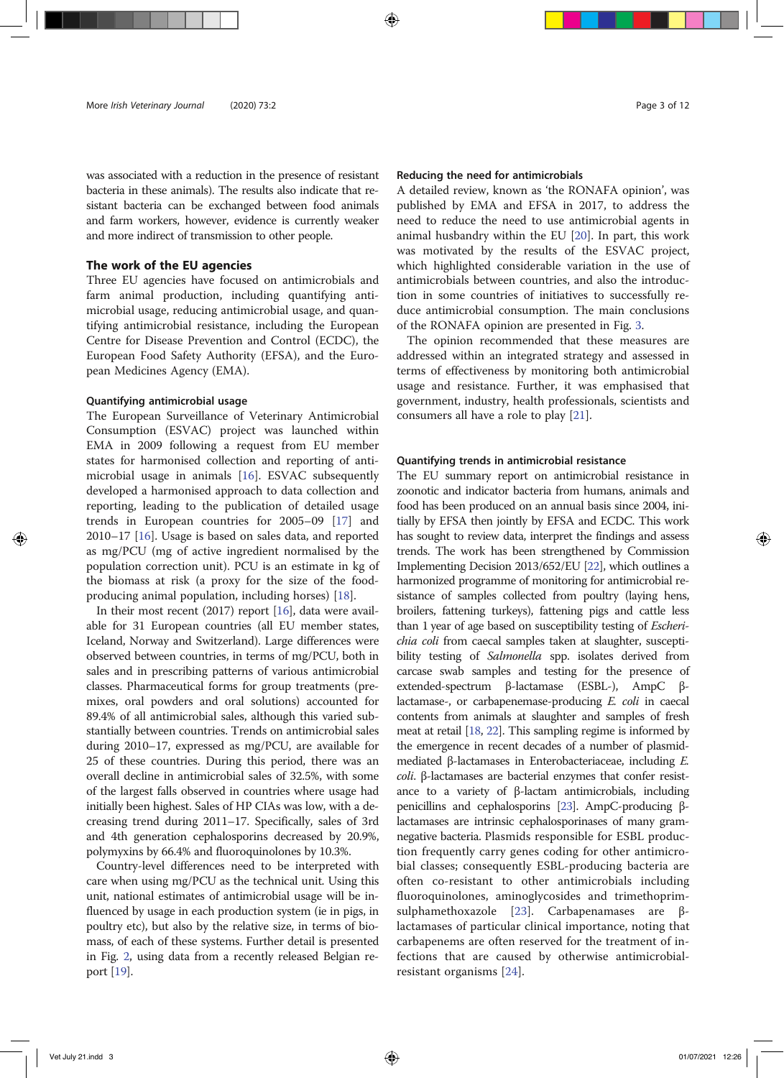was associated with a reduction in the presence of resistant bacteria in these animals). The results also indicate that resistant bacteria can be exchanged between food animals and farm workers, however, evidence is currently weaker and more indirect of transmission to other people.

### The work of the EU agencies

Three EU agencies have focused on antimicrobials and farm animal production, including quantifying antimicrobial usage, reducing antimicrobial usage, and quantifying antimicrobial resistance, including the European Centre for Disease Prevention and Control (ECDC), the European Food Safety Authority (EFSA), and the European Medicines Agency (EMA).

### Quantifying antimicrobial usage

The European Surveillance of Veterinary Antimicrobial Consumption (ESVAC) project was launched within EMA in 2009 following a request from EU member states for harmonised collection and reporting of antimicrobial usage in animals [16]. ESVAC subsequently developed a harmonised approach to data collection and reporting, leading to the publication of detailed usage trends in European countries for 2005–09 [17] and 2010–17 [16]. Usage is based on sales data, and reported as mg/PCU (mg of active ingredient normalised by the population correction unit). PCU is an estimate in kg of the biomass at risk (a proxy for the size of the foodproducing animal population, including horses) [18].

In their most recent (2017) report [16], data were available for 31 European countries (all EU member states, Iceland, Norway and Switzerland). Large differences were observed between countries, in terms of mg/PCU, both in sales and in prescribing patterns of various antimicrobial classes. Pharmaceutical forms for group treatments (premixes, oral powders and oral solutions) accounted for 89.4% of all antimicrobial sales, although this varied substantially between countries. Trends on antimicrobial sales during 2010–17, expressed as mg/PCU, are available for 25 of these countries. During this period, there was an overall decline in antimicrobial sales of 32.5%, with some of the largest falls observed in countries where usage had initially been highest. Sales of HP CIAs was low, with a decreasing trend during 2011–17. Specifically, sales of 3rd and 4th generation cephalosporins decreased by 20.9%, polymyxins by 66.4% and fluoroquinolones by 10.3%.

Country-level differences need to be interpreted with care when using mg/PCU as the technical unit. Using this unit, national estimates of antimicrobial usage will be influenced by usage in each production system (ie in pigs, in poultry etc), but also by the relative size, in terms of biomass, of each of these systems. Further detail is presented in Fig. 2, using data from a recently released Belgian report [19].

### Reducing the need for antimicrobials

A detailed review, known as 'the RONAFA opinion', was published by EMA and EFSA in 2017, to address the need to reduce the need to use antimicrobial agents in animal husbandry within the EU [20]. In part, this work was motivated by the results of the ESVAC project, which highlighted considerable variation in the use of antimicrobials between countries, and also the introduction in some countries of initiatives to successfully reduce antimicrobial consumption. The main conclusions of the RONAFA opinion are presented in Fig. 3.

The opinion recommended that these measures are addressed within an integrated strategy and assessed in terms of effectiveness by monitoring both antimicrobial usage and resistance. Further, it was emphasised that government, industry, health professionals, scientists and consumers all have a role to play [21].

### Quantifying trends in antimicrobial resistance

The EU summary report on antimicrobial resistance in zoonotic and indicator bacteria from humans, animals and food has been produced on an annual basis since 2004, initially by EFSA then jointly by EFSA and ECDC. This work has sought to review data, interpret the findings and assess trends. The work has been strengthened by Commission Implementing Decision 2013/652/EU [22], which outlines a harmonized programme of monitoring for antimicrobial resistance of samples collected from poultry (laying hens, broilers, fattening turkeys), fattening pigs and cattle less than 1 year of age based on susceptibility testing of Escherichia coli from caecal samples taken at slaughter, susceptibility testing of Salmonella spp. isolates derived from carcase swab samples and testing for the presence of extended-spectrum β-lactamase (ESBL-), AmpC βlactamase-, or carbapenemase-producing E. coli in caecal contents from animals at slaughter and samples of fresh meat at retail [18, 22]. This sampling regime is informed by the emergence in recent decades of a number of plasmidmediated β-lactamases in Enterobacteriaceae, including E. coli. β-lactamases are bacterial enzymes that confer resistance to a variety of β-lactam antimicrobials, including penicillins and cephalosporins [23]. AmpC-producing βlactamases are intrinsic cephalosporinases of many gramnegative bacteria. Plasmids responsible for ESBL production frequently carry genes coding for other antimicrobial classes; consequently ESBL-producing bacteria are often co-resistant to other antimicrobials including fluoroquinolones, aminoglycosides and trimethoprimsulphamethoxazole [23]. Carbapenamases are βlactamases of particular clinical importance, noting that carbapenems are often reserved for the treatment of infections that are caused by otherwise antimicrobialresistant organisms [24].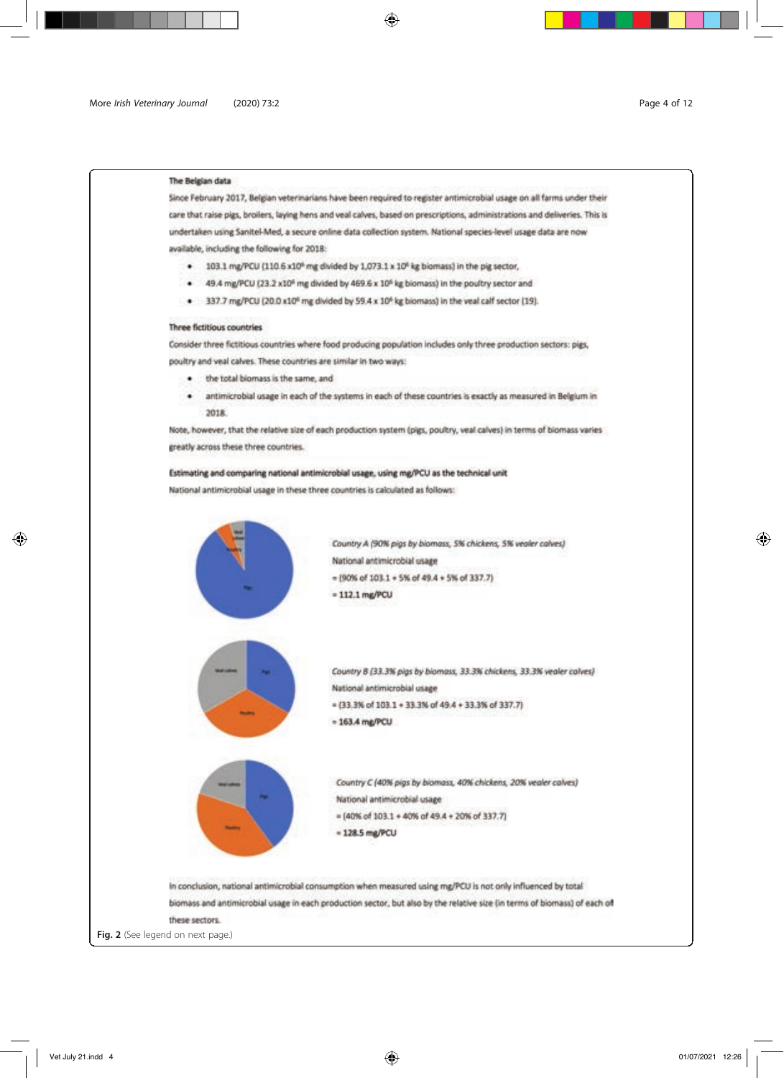### The Belgian data

Since February 2017, Belgian veterinarians have been required to register antimicrobial usage on all farms under their care that raise pigs, broilers, laying hens and veal calves, based on prescriptions, administrations and deliveries. This is undertaken using Sanitel-Med, a secure online data collection system. National species-level usage data are now available, including the following for 2018:

- . 103.1 mg/PCU (110.6 x10<sup>6</sup> mg divided by 1,073.1 x 10<sup>6</sup> kg biomass) in the pig sector,
- . 49.4 mg/PCU (23.2 x10<sup>6</sup> mg divided by 469.6 x 10<sup>6</sup> kg biomass) in the poultry sector and
- . 337.7 mg/PCU (20.0 x10<sup>6</sup> mg divided by 59.4 x 10<sup>6</sup> kg biomass) in the veal calf sector (19).

### Three firtitious countries

Consider three fictitious countries where food producing population includes only three production sectors: pigs, poultry and veal calves. These countries are similar in two ways:

- . the total biomass is the same, and
- antimicrobial usage in each of the systems in each of these countries is exactly as measured in Belgium in  $2018$

Note, however, that the relative size of each production system (pigs, poultry, veal calves) in terms of biomass varies greatly across these three countries.

Estimating and comparing national antimicrobial usage, using mg/PCU as the technical unit National antimicrobial usage in these three countries is calculated as follows:

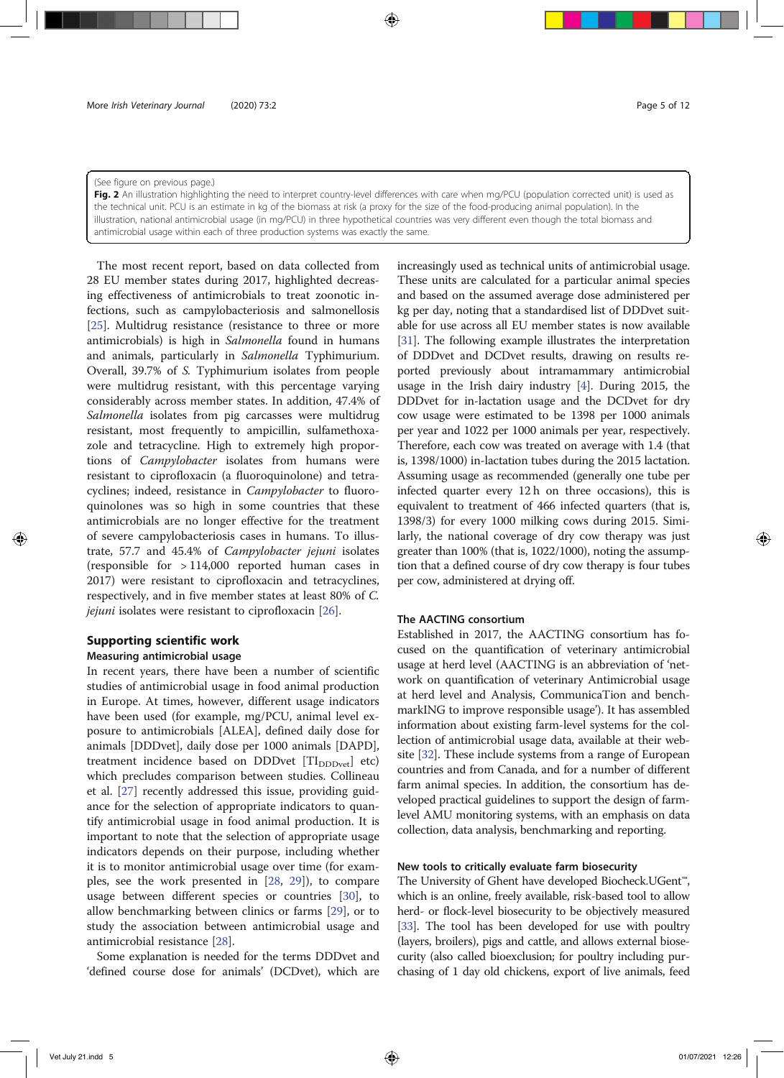### (See figure on previous page.)

Fig. 2 An illustration highlighting the need to interpret country-level differences with care when mg/PCU (population corrected unit) is used as the technical unit. PCU is an estimate in kg of the biomass at risk (a proxy for the size of the food-producing animal population). In the illustration, national antimicrobial usage (in mg/PCU) in three hypothetical countries was very different even though the total biomass and antimicrobial usage within each of three production systems was exactly the same.

The most recent report, based on data collected from 28 EU member states during 2017, highlighted decreasing effectiveness of antimicrobials to treat zoonotic infections, such as campylobacteriosis and salmonellosis [25]. Multidrug resistance (resistance to three or more antimicrobials) is high in Salmonella found in humans and animals, particularly in Salmonella Typhimurium. Overall, 39.7% of S. Typhimurium isolates from people were multidrug resistant, with this percentage varying considerably across member states. In addition, 47.4% of Salmonella isolates from pig carcasses were multidrug resistant, most frequently to ampicillin, sulfamethoxazole and tetracycline. High to extremely high proportions of Campylobacter isolates from humans were resistant to ciprofloxacin (a fluoroquinolone) and tetracyclines; indeed, resistance in *Campylobacter* to fluoroquinolones was so high in some countries that these antimicrobials are no longer effective for the treatment of severe campylobacteriosis cases in humans. To illustrate, 57.7 and 45.4% of Campylobacter jejuni isolates (responsible for > 114,000 reported human cases in 2017) were resistant to ciprofloxacin and tetracyclines, respectively, and in five member states at least 80% of C. jejuni isolates were resistant to ciprofloxacin [26].

### Supporting scientific work Measuring antimicrobial usage

In recent years, there have been a number of scientific studies of antimicrobial usage in food animal production in Europe. At times, however, different usage indicators have been used (for example, mg/PCU, animal level exposure to antimicrobials [ALEA], defined daily dose for animals [DDDvet], daily dose per 1000 animals [DAPD], treatment incidence based on DDDvet  $[TI_{DDDvet}]$  etc) which precludes comparison between studies. Collineau et al. [27] recently addressed this issue, providing guidance for the selection of appropriate indicators to quantify antimicrobial usage in food animal production. It is important to note that the selection of appropriate usage indicators depends on their purpose, including whether it is to monitor antimicrobial usage over time (for examples, see the work presented in [28, 29]), to compare usage between different species or countries [30], to allow benchmarking between clinics or farms [29], or to study the association between antimicrobial usage and antimicrobial resistance [28].

Some explanation is needed for the terms DDDvet and 'defined course dose for animals' (DCDvet), which are increasingly used as technical units of antimicrobial usage. These units are calculated for a particular animal species and based on the assumed average dose administered per kg per day, noting that a standardised list of DDDvet suitable for use across all EU member states is now available [31]. The following example illustrates the interpretation of DDDvet and DCDvet results, drawing on results reported previously about intramammary antimicrobial usage in the Irish dairy industry [4]. During 2015, the DDDvet for in-lactation usage and the DCDvet for dry cow usage were estimated to be 1398 per 1000 animals per year and 1022 per 1000 animals per year, respectively. Therefore, each cow was treated on average with 1.4 (that is, 1398/1000) in-lactation tubes during the 2015 lactation. Assuming usage as recommended (generally one tube per infected quarter every 12 h on three occasions), this is equivalent to treatment of 466 infected quarters (that is, 1398/3) for every 1000 milking cows during 2015. Similarly, the national coverage of dry cow therapy was just greater than 100% (that is, 1022/1000), noting the assumption that a defined course of dry cow therapy is four tubes per cow, administered at drying off.

### The AACTING consortium

Established in 2017, the AACTING consortium has focused on the quantification of veterinary antimicrobial usage at herd level (AACTING is an abbreviation of 'network on quantification of veterinary Antimicrobial usage at herd level and Analysis, CommunicaTion and benchmarkING to improve responsible usage'). It has assembled information about existing farm-level systems for the collection of antimicrobial usage data, available at their website [32]. These include systems from a range of European countries and from Canada, and for a number of different farm animal species. In addition, the consortium has developed practical guidelines to support the design of farmlevel AMU monitoring systems, with an emphasis on data collection, data analysis, benchmarking and reporting.

### New tools to critically evaluate farm biosecurity

The University of Ghent have developed Biocheck.UGent™, which is an online, freely available, risk-based tool to allow herd- or flock-level biosecurity to be objectively measured [33]. The tool has been developed for use with poultry (layers, broilers), pigs and cattle, and allows external biosecurity (also called bioexclusion; for poultry including purchasing of 1 day old chickens, export of live animals, feed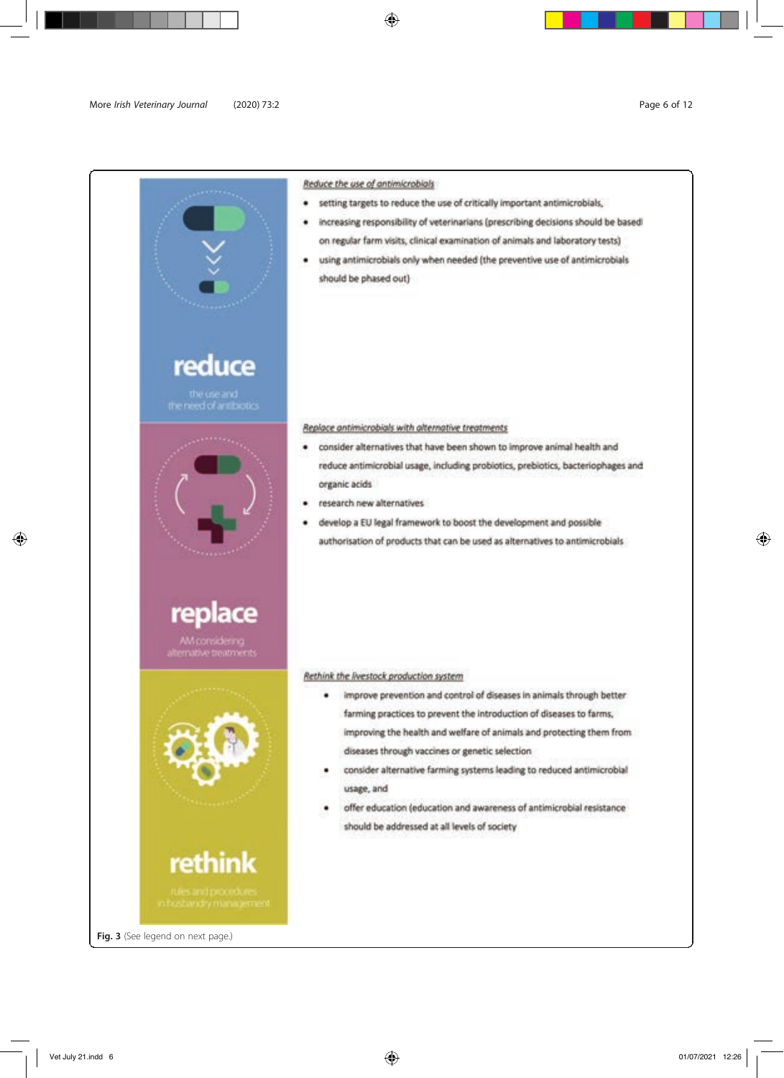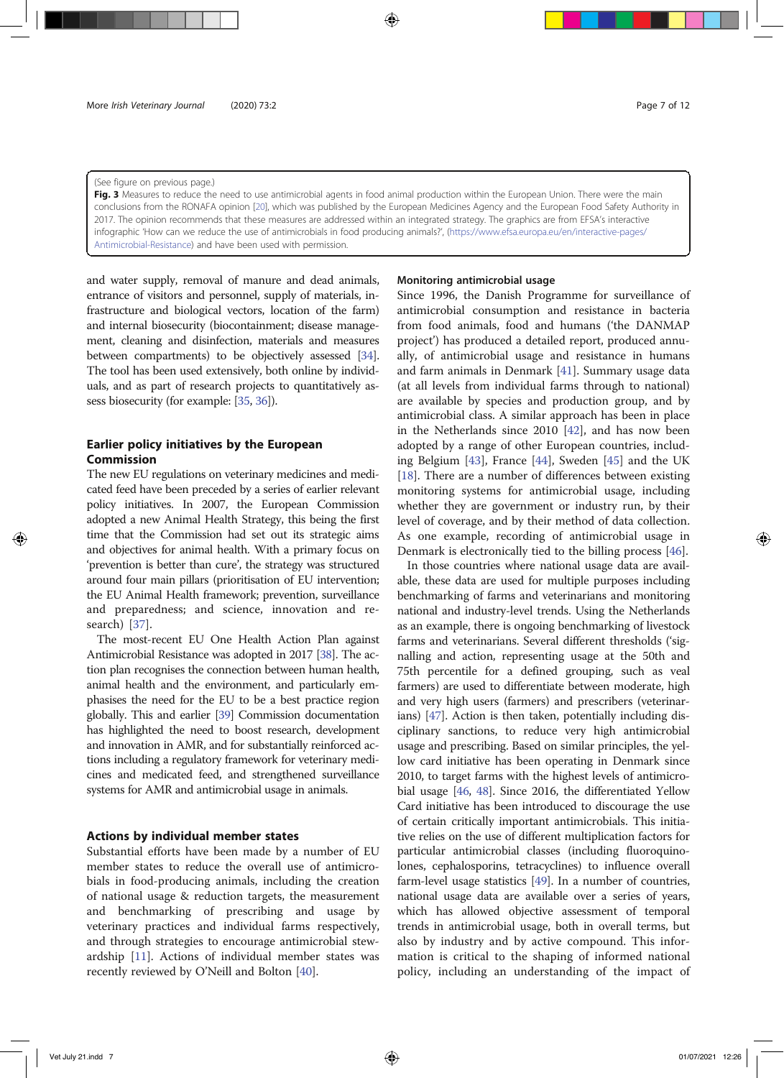(See figure on previous page.)

Fig. 3 Measures to reduce the need to use antimicrobial agents in food animal production within the European Union. There were the main conclusions from the RONAFA opinion [20], which was published by the European Medicines Agency and the European Food Safety Authority in 2017. The opinion recommends that these measures are addressed within an integrated strategy. The graphics are from EFSA's interactive infographic 'How can we reduce the use of antimicrobials in food producing animals?', (https://www.efsa.europa.eu/en/interactive-pages/ Antimicrobial-Resistance) and have been used with permission.

and water supply, removal of manure and dead animals, entrance of visitors and personnel, supply of materials, infrastructure and biological vectors, location of the farm) and internal biosecurity (biocontainment; disease management, cleaning and disinfection, materials and measures between compartments) to be objectively assessed [34]. The tool has been used extensively, both online by individuals, and as part of research projects to quantitatively assess biosecurity (for example: [35, 36]).

### Earlier policy initiatives by the European Commission

The new EU regulations on veterinary medicines and medicated feed have been preceded by a series of earlier relevant policy initiatives. In 2007, the European Commission adopted a new Animal Health Strategy, this being the first time that the Commission had set out its strategic aims and objectives for animal health. With a primary focus on 'prevention is better than cure', the strategy was structured around four main pillars (prioritisation of EU intervention; the EU Animal Health framework; prevention, surveillance and preparedness; and science, innovation and research) [37].

The most-recent EU One Health Action Plan against Antimicrobial Resistance was adopted in 2017 [38]. The action plan recognises the connection between human health, animal health and the environment, and particularly emphasises the need for the EU to be a best practice region globally. This and earlier [39] Commission documentation has highlighted the need to boost research, development and innovation in AMR, and for substantially reinforced actions including a regulatory framework for veterinary medicines and medicated feed, and strengthened surveillance systems for AMR and antimicrobial usage in animals.

### Actions by individual member states

Substantial efforts have been made by a number of EU member states to reduce the overall use of antimicrobials in food-producing animals, including the creation of national usage & reduction targets, the measurement and benchmarking of prescribing and usage by veterinary practices and individual farms respectively, and through strategies to encourage antimicrobial stewardship [11]. Actions of individual member states was recently reviewed by O'Neill and Bolton [40].

## Monitoring antimicrobial usage

Since 1996, the Danish Programme for surveillance of antimicrobial consumption and resistance in bacteria from food animals, food and humans ('the DANMAP project') has produced a detailed report, produced annually, of antimicrobial usage and resistance in humans and farm animals in Denmark [41]. Summary usage data (at all levels from individual farms through to national) are available by species and production group, and by antimicrobial class. A similar approach has been in place in the Netherlands since 2010 [42], and has now been adopted by a range of other European countries, including Belgium [43], France [44], Sweden [45] and the UK [18]. There are a number of differences between existing monitoring systems for antimicrobial usage, including whether they are government or industry run, by their level of coverage, and by their method of data collection. As one example, recording of antimicrobial usage in Denmark is electronically tied to the billing process [46].

In those countries where national usage data are available, these data are used for multiple purposes including benchmarking of farms and veterinarians and monitoring national and industry-level trends. Using the Netherlands as an example, there is ongoing benchmarking of livestock farms and veterinarians. Several different thresholds ('signalling and action, representing usage at the 50th and 75th percentile for a defined grouping, such as veal farmers) are used to differentiate between moderate, high and very high users (farmers) and prescribers (veterinarians) [47]. Action is then taken, potentially including disciplinary sanctions, to reduce very high antimicrobial usage and prescribing. Based on similar principles, the yellow card initiative has been operating in Denmark since 2010, to target farms with the highest levels of antimicrobial usage [46, 48]. Since 2016, the differentiated Yellow Card initiative has been introduced to discourage the use of certain critically important antimicrobials. This initiative relies on the use of different multiplication factors for particular antimicrobial classes (including fluoroquinolones, cephalosporins, tetracyclines) to influence overall farm-level usage statistics [49]. In a number of countries, national usage data are available over a series of years, which has allowed objective assessment of temporal trends in antimicrobial usage, both in overall terms, but also by industry and by active compound. This information is critical to the shaping of informed national policy, including an understanding of the impact of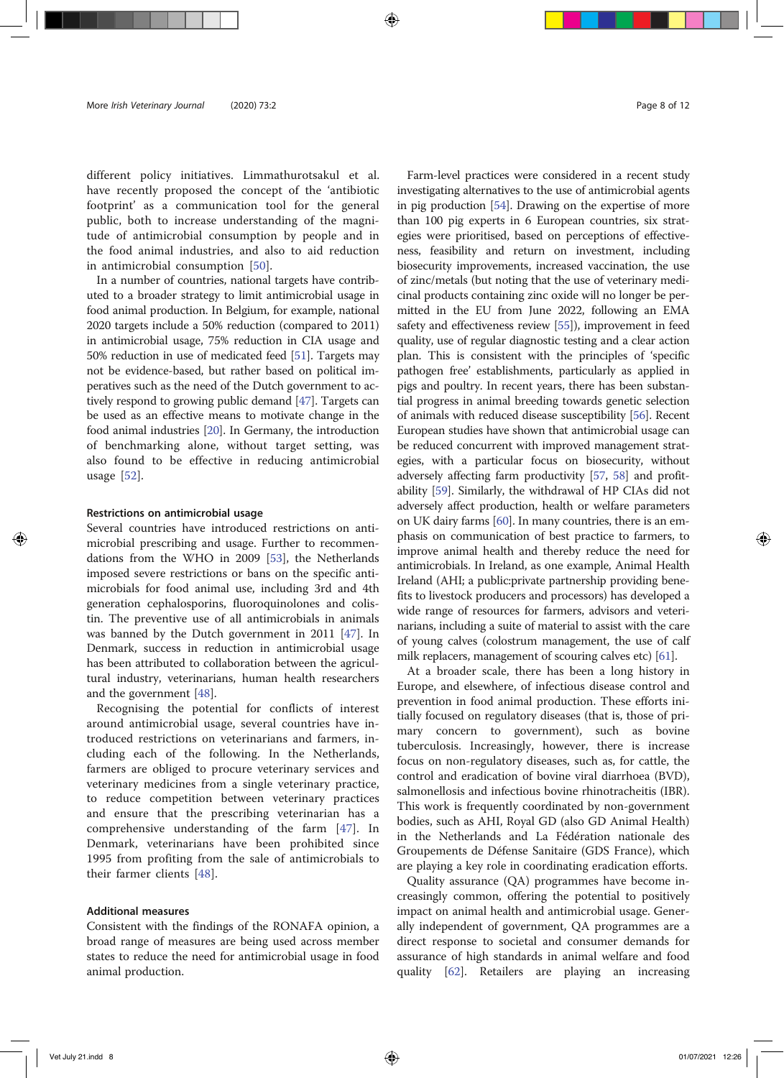different policy initiatives. Limmathurotsakul et al. have recently proposed the concept of the 'antibiotic footprint' as a communication tool for the general public, both to increase understanding of the magnitude of antimicrobial consumption by people and in the food animal industries, and also to aid reduction in antimicrobial consumption [50].

In a number of countries, national targets have contributed to a broader strategy to limit antimicrobial usage in food animal production. In Belgium, for example, national 2020 targets include a 50% reduction (compared to 2011) in antimicrobial usage, 75% reduction in CIA usage and 50% reduction in use of medicated feed [51]. Targets may not be evidence-based, but rather based on political imperatives such as the need of the Dutch government to actively respond to growing public demand [47]. Targets can be used as an effective means to motivate change in the food animal industries [20]. In Germany, the introduction of benchmarking alone, without target setting, was also found to be effective in reducing antimicrobial usage [52].

### Restrictions on antimicrobial usage

Several countries have introduced restrictions on antimicrobial prescribing and usage. Further to recommendations from the WHO in 2009 [53], the Netherlands imposed severe restrictions or bans on the specific antimicrobials for food animal use, including 3rd and 4th generation cephalosporins, fluoroquinolones and colistin. The preventive use of all antimicrobials in animals was banned by the Dutch government in 2011 [47]. In Denmark, success in reduction in antimicrobial usage has been attributed to collaboration between the agricultural industry, veterinarians, human health researchers and the government [48].

Recognising the potential for conflicts of interest around antimicrobial usage, several countries have introduced restrictions on veterinarians and farmers, including each of the following. In the Netherlands, farmers are obliged to procure veterinary services and veterinary medicines from a single veterinary practice, to reduce competition between veterinary practices and ensure that the prescribing veterinarian has a comprehensive understanding of the farm [47]. In Denmark, veterinarians have been prohibited since 1995 from profiting from the sale of antimicrobials to their farmer clients [48].

### Additional measures

Consistent with the findings of the RONAFA opinion, a broad range of measures are being used across member states to reduce the need for antimicrobial usage in food animal production.

Farm-level practices were considered in a recent study investigating alternatives to the use of antimicrobial agents in pig production [54]. Drawing on the expertise of more than 100 pig experts in 6 European countries, six strategies were prioritised, based on perceptions of effectiveness, feasibility and return on investment, including biosecurity improvements, increased vaccination, the use of zinc/metals (but noting that the use of veterinary medicinal products containing zinc oxide will no longer be permitted in the EU from June 2022, following an EMA safety and effectiveness review [55]), improvement in feed quality, use of regular diagnostic testing and a clear action plan. This is consistent with the principles of 'specific pathogen free' establishments, particularly as applied in pigs and poultry. In recent years, there has been substantial progress in animal breeding towards genetic selection of animals with reduced disease susceptibility [56]. Recent European studies have shown that antimicrobial usage can be reduced concurrent with improved management strategies, with a particular focus on biosecurity, without adversely affecting farm productivity [57, 58] and profitability [59]. Similarly, the withdrawal of HP CIAs did not adversely affect production, health or welfare parameters on UK dairy farms [60]. In many countries, there is an emphasis on communication of best practice to farmers, to improve animal health and thereby reduce the need for antimicrobials. In Ireland, as one example, Animal Health Ireland (AHI; a public:private partnership providing benefits to livestock producers and processors) has developed a wide range of resources for farmers, advisors and veterinarians, including a suite of material to assist with the care of young calves (colostrum management, the use of calf milk replacers, management of scouring calves etc) [61].

At a broader scale, there has been a long history in Europe, and elsewhere, of infectious disease control and prevention in food animal production. These efforts initially focused on regulatory diseases (that is, those of primary concern to government), such as bovine tuberculosis. Increasingly, however, there is increase focus on non-regulatory diseases, such as, for cattle, the control and eradication of bovine viral diarrhoea (BVD), salmonellosis and infectious bovine rhinotracheitis (IBR). This work is frequently coordinated by non-government bodies, such as AHI, Royal GD (also GD Animal Health) in the Netherlands and La Fédération nationale des Groupements de Défense Sanitaire (GDS France), which are playing a key role in coordinating eradication efforts.

Quality assurance (QA) programmes have become increasingly common, offering the potential to positively impact on animal health and antimicrobial usage. Generally independent of government, QA programmes are a direct response to societal and consumer demands for assurance of high standards in animal welfare and food quality [62]. Retailers are playing an increasing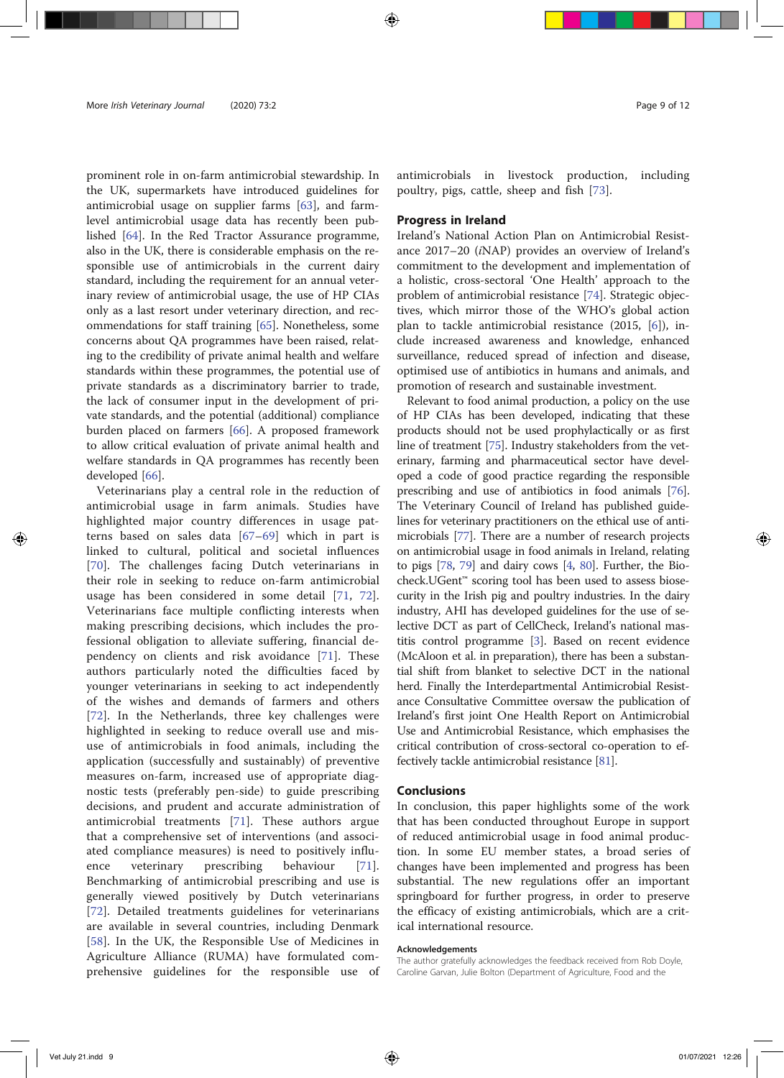prominent role in on-farm antimicrobial stewardship. In the UK, supermarkets have introduced guidelines for antimicrobial usage on supplier farms [63], and farmlevel antimicrobial usage data has recently been published [64]. In the Red Tractor Assurance programme, also in the UK, there is considerable emphasis on the responsible use of antimicrobials in the current dairy standard, including the requirement for an annual veterinary review of antimicrobial usage, the use of HP CIAs only as a last resort under veterinary direction, and recommendations for staff training [65]. Nonetheless, some concerns about QA programmes have been raised, relating to the credibility of private animal health and welfare standards within these programmes, the potential use of private standards as a discriminatory barrier to trade, the lack of consumer input in the development of private standards, and the potential (additional) compliance burden placed on farmers [66]. A proposed framework to allow critical evaluation of private animal health and welfare standards in QA programmes has recently been developed [66].

Veterinarians play a central role in the reduction of antimicrobial usage in farm animals. Studies have highlighted major country differences in usage patterns based on sales data [67–69] which in part is linked to cultural, political and societal influences [70]. The challenges facing Dutch veterinarians in their role in seeking to reduce on-farm antimicrobial usage has been considered in some detail [71, 72]. Veterinarians face multiple conflicting interests when making prescribing decisions, which includes the professional obligation to alleviate suffering, financial dependency on clients and risk avoidance [71]. These authors particularly noted the difficulties faced by younger veterinarians in seeking to act independently of the wishes and demands of farmers and others [72]. In the Netherlands, three key challenges were highlighted in seeking to reduce overall use and misuse of antimicrobials in food animals, including the application (successfully and sustainably) of preventive measures on-farm, increased use of appropriate diagnostic tests (preferably pen-side) to guide prescribing decisions, and prudent and accurate administration of antimicrobial treatments [71]. These authors argue that a comprehensive set of interventions (and associated compliance measures) is need to positively influence veterinary prescribing behaviour [71]. Benchmarking of antimicrobial prescribing and use is generally viewed positively by Dutch veterinarians [72]. Detailed treatments guidelines for veterinarians are available in several countries, including Denmark [58]. In the UK, the Responsible Use of Medicines in Agriculture Alliance (RUMA) have formulated comprehensive guidelines for the responsible use of antimicrobials in livestock production, including poultry, pigs, cattle, sheep and fish [73].

### Progress in Ireland

Ireland's National Action Plan on Antimicrobial Resistance 2017–20 (iNAP) provides an overview of Ireland's commitment to the development and implementation of a holistic, cross-sectoral 'One Health' approach to the problem of antimicrobial resistance [74]. Strategic objectives, which mirror those of the WHO's global action plan to tackle antimicrobial resistance (2015, [6]), include increased awareness and knowledge, enhanced surveillance, reduced spread of infection and disease, optimised use of antibiotics in humans and animals, and promotion of research and sustainable investment.

Relevant to food animal production, a policy on the use of HP CIAs has been developed, indicating that these products should not be used prophylactically or as first line of treatment [75]. Industry stakeholders from the veterinary, farming and pharmaceutical sector have developed a code of good practice regarding the responsible prescribing and use of antibiotics in food animals [76]. The Veterinary Council of Ireland has published guidelines for veterinary practitioners on the ethical use of antimicrobials [77]. There are a number of research projects on antimicrobial usage in food animals in Ireland, relating to pigs [78, 79] and dairy cows [4, 80]. Further, the Biocheck.UGent™ scoring tool has been used to assess biosecurity in the Irish pig and poultry industries. In the dairy industry, AHI has developed guidelines for the use of selective DCT as part of CellCheck, Ireland's national mastitis control programme [3]. Based on recent evidence (McAloon et al. in preparation), there has been a substantial shift from blanket to selective DCT in the national herd. Finally the Interdepartmental Antimicrobial Resistance Consultative Committee oversaw the publication of Ireland's first joint One Health Report on Antimicrobial Use and Antimicrobial Resistance, which emphasises the critical contribution of cross-sectoral co-operation to effectively tackle antimicrobial resistance [81].

### Conclusions

In conclusion, this paper highlights some of the work that has been conducted throughout Europe in support of reduced antimicrobial usage in food animal production. In some EU member states, a broad series of changes have been implemented and progress has been substantial. The new regulations offer an important springboard for further progress, in order to preserve the efficacy of existing antimicrobials, which are a critical international resource.

### Acknowledgements

The author gratefully acknowledges the feedback received from Rob Doyle, Caroline Garvan, Julie Bolton (Department of Agriculture, Food and the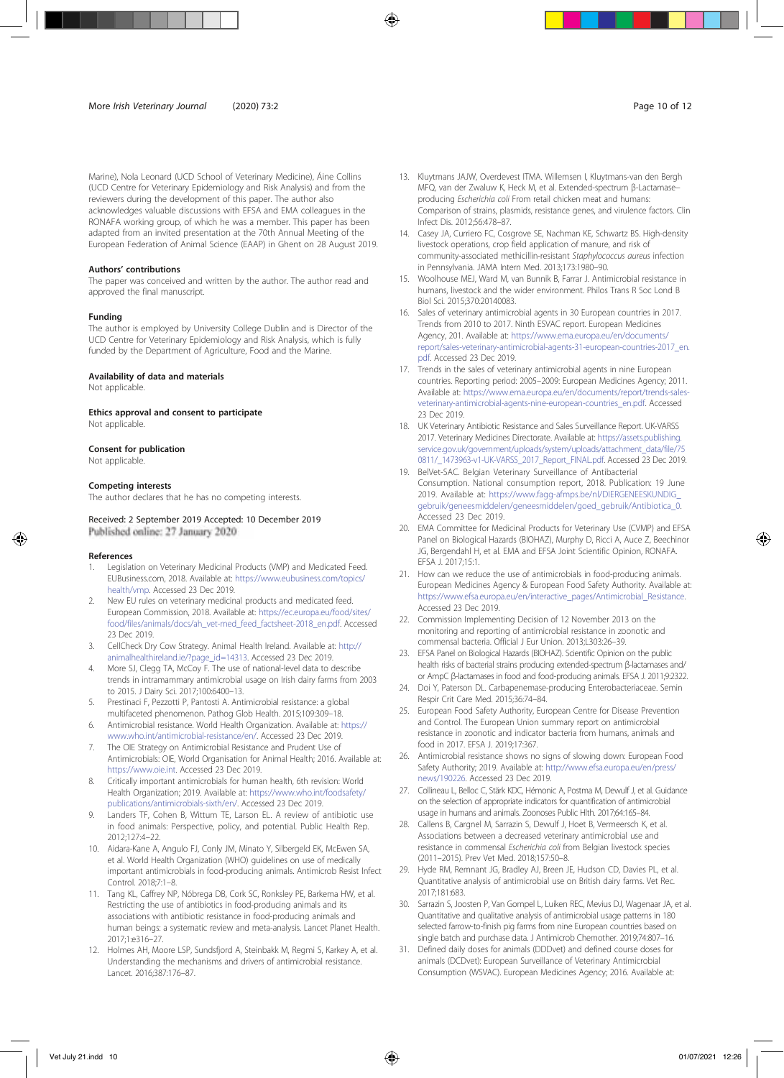Marine), Nola Leonard (UCD School of Veterinary Medicine), Áine Collins (UCD Centre for Veterinary Epidemiology and Risk Analysis) and from the reviewers during the development of this paper. The author also acknowledges valuable discussions with EFSA and EMA colleagues in the RONAFA working group, of which he was a member. This paper has been adapted from an invited presentation at the 70th Annual Meeting of the European Federation of Animal Science (EAAP) in Ghent on 28 August 2019.

### Authors' contributions

The paper was conceived and written by the author. The author read and approved the final manuscript.

### Funding

The author is employed by University College Dublin and is Director of the UCD Centre for Veterinary Epidemiology and Risk Analysis, which is fully funded by the Department of Agriculture, Food and the Marine.

### Availability of data and materials

Not applicable.

Ethics approval and consent to participate Not applicable.

### Consent for publication

Not applicable.

### Competing interests

The author declares that he has no competing interests.

Received: 2 September 2019 Accepted: 10 December 2019 Published online: 27 January 2020

### References

- 1. Legislation on Veterinary Medicinal Products (VMP) and Medicated Feed. EUBusiness.com, 2018. Available at: https://www.eubusiness.com/topics/ health/vmp. Accessed 23 Dec 2019.
- 2. New EU rules on veterinary medicinal products and medicated feed. European Commission, 2018. Available at: https://ec.europa.eu/food/sites/ food/files/animals/docs/ah\_vet-med\_feed\_factsheet-2018\_en.pdf. Accessed 23 Dec 2019.
- 3. CellCheck Dry Cow Strategy. Animal Health Ireland. Available at: http:// animalhealthireland.ie/?page\_id=14313. Accessed 23 Dec 2019.
- 4. More SJ, Clegg TA, McCoy F. The use of national-level data to describe trends in intramammary antimicrobial usage on Irish dairy farms from 2003 to 2015. J Dairy Sci. 2017;100:6400–13.
- 5. Prestinaci F, Pezzotti P, Pantosti A. Antimicrobial resistance: a global multifaceted phenomenon. Pathog Glob Health. 2015;109:309–18.
- 6. Antimicrobial resistance. World Health Organization. Available at: https:// www.who.int/antimicrobial-resistance/en/. Accessed 23 Dec 2019.
- 7. The OIE Strategy on Antimicrobial Resistance and Prudent Use of Antimicrobials: OIE, World Organisation for Animal Health; 2016. Available at: https://www.oie.int. Accessed 23 Dec 2019.
- 8. Critically important antimicrobials for human health, 6th revision: World Health Organization; 2019. Available at: https://www.who.int/foodsafety/ publications/antimicrobials-sixth/en/. Accessed 23 Dec 2019.
- 9. Landers TF, Cohen B, Wittum TE, Larson EL. A review of antibiotic use in food animals: Perspective, policy, and potential. Public Health Rep. 2012;127:4–22.
- 10. Aidara-Kane A, Angulo FJ, Conly JM, Minato Y, Silbergeld EK, McEwen SA, et al. World Health Organization (WHO) guidelines on use of medically important antimicrobials in food-producing animals. Antimicrob Resist Infect Control. 2018;7:1–8.
- 11. Tang KL, Caffrey NP, Nóbrega DB, Cork SC, Ronksley PE, Barkema HW, et al. Restricting the use of antibiotics in food-producing animals and its associations with antibiotic resistance in food-producing animals and human beings: a systematic review and meta-analysis. Lancet Planet Health. 2017;1:e316–27.
- 12. Holmes AH, Moore LSP, Sundsfjord A, Steinbakk M, Regmi S, Karkey A, et al. Understanding the mechanisms and drivers of antimicrobial resistance. Lancet. 2016;387:176–87.
- 13. Kluytmans JAJW, Overdevest ITMA. Willemsen I, Kluytmans-van den Bergh MFQ, van der Zwaluw K, Heck M, et al. Extended-spectrum β-Lactamase– producing Escherichia coli From retail chicken meat and humans: Comparison of strains, plasmids, resistance genes, and virulence factors. Clin Infect Dis. 2012;56:478–87.
- 14. Casey JA, Curriero FC, Cosgrove SE, Nachman KE, Schwartz BS. High-density livestock operations, crop field application of manure, and risk of community-associated methicillin-resistant Staphylococcus aureus infection in Pennsylvania. JAMA Intern Med. 2013;173:1980–90.
- 15. Woolhouse MEJ, Ward M, van Bunnik B, Farrar J. Antimicrobial resistance in humans, livestock and the wider environment. Philos Trans R Soc Lond B Biol Sci. 2015;370:20140083.
- 16. Sales of veterinary antimicrobial agents in 30 European countries in 2017. Trends from 2010 to 2017. Ninth ESVAC report. European Medicines Agency, 201. Available at: https://www.ema.europa.eu/en/documents/ report/sales-veterinary-antimicrobial-agents-31-european-countries-2017\_en. pdf. Accessed 23 Dec 2019.
- 17. Trends in the sales of veterinary antimicrobial agents in nine European countries. Reporting period: 2005–2009: European Medicines Agency; 2011. Available at: https://www.ema.europa.eu/en/documents/report/trends-salesveterinary-antimicrobial-agents-nine-european-countries\_en.pdf. Accessed 23 Dec 2019.
- 18. UK Veterinary Antibiotic Resistance and Sales Surveillance Report. UK-VARSS 2017. Veterinary Medicines Directorate. Available at: https://assets.publishing. service.gov.uk/government/uploads/system/uploads/attachment\_data/file/75 0811/ 1473963-v1-UK-VARSS\_2017\_Report\_FINAL.pdf. Accessed 23 Dec 2019.
- 19. BelVet-SAC. Belgian Veterinary Surveillance of Antibacterial Consumption. National consumption report, 2018. Publication: 19 June 2019. Available at: https://www.fagg-afmps.be/nl/DIERGENEESKUNDIG\_ gebruik/geneesmiddelen/geneesmiddelen/goed\_gebruik/Antibiotica\_0. Accessed 23 Dec 2019.
- 20. EMA Committee for Medicinal Products for Veterinary Use (CVMP) and EFSA Panel on Biological Hazards (BIOHAZ), Murphy D, Ricci A, Auce Z, Beechinor JG, Bergendahl H, et al. EMA and EFSA Joint Scientific Opinion, RONAFA. EFSA J. 2017;15:1.
- 21. How can we reduce the use of antimicrobials in food-producing animals. European Medicines Agency & European Food Safety Authority. Available at: https://www.efsa.europa.eu/en/interactive\_pages/Antimicrobial\_Resistance. Accessed 23 Dec 2019.
- 22. Commission Implementing Decision of 12 November 2013 on the monitoring and reporting of antimicrobial resistance in zoonotic and commensal bacteria. Official J Eur Union. 2013;L303:26–39.
- 23. EFSA Panel on Biological Hazards (BIOHAZ). Scientific Opinion on the public health risks of bacterial strains producing extended-spectrum β-lactamases and/ or AmpC β-lactamases in food and food-producing animals. EFSA J. 2011;9:2322.
- 24. Doi Y, Paterson DL. Carbapenemase-producing Enterobacteriaceae. Semin Respir Crit Care Med. 2015;36:74–84.
- 25. European Food Safety Authority, European Centre for Disease Prevention and Control. The European Union summary report on antimicrobial resistance in zoonotic and indicator bacteria from humans, animals and food in 2017. EFSA J. 2019;17:367.
- 26. Antimicrobial resistance shows no signs of slowing down: European Food Safety Authority; 2019. Available at: http://www.efsa.europa.eu/en/press/ news/190226. Accessed 23 Dec 2019.
- 27. Collineau L, Belloc C, Stärk KDC, Hémonic A, Postma M, Dewulf J, et al. Guidance on the selection of appropriate indicators for quantification of antimicrobial usage in humans and animals. Zoonoses Public Hlth. 2017;64:165–84.
- 28. Callens B, Cargnel M, Sarrazin S, Dewulf J, Hoet B, Vermeersch K, et al. Associations between a decreased veterinary antimicrobial use and resistance in commensal Escherichia coli from Belgian livestock species (2011–2015). Prev Vet Med. 2018;157:50–8.
- 29. Hyde RM, Remnant JG, Bradley AJ, Breen JE, Hudson CD, Davies PL, et al. Quantitative analysis of antimicrobial use on British dairy farms. Vet Rec. 2017;181:683.
- 30. Sarrazin S, Joosten P, Van Gompel L, Luiken REC, Mevius DJ, Wagenaar JA, et al. Quantitative and qualitative analysis of antimicrobial usage patterns in 180 selected farrow-to-finish pig farms from nine European countries based on single batch and purchase data. J Antimicrob Chemother. 2019;74:807–16.
- 31. Defined daily doses for animals (DDDvet) and defined course doses for animals (DCDvet): European Surveillance of Veterinary Antimicrobial Consumption (WSVAC). European Medicines Agency; 2016. Available at: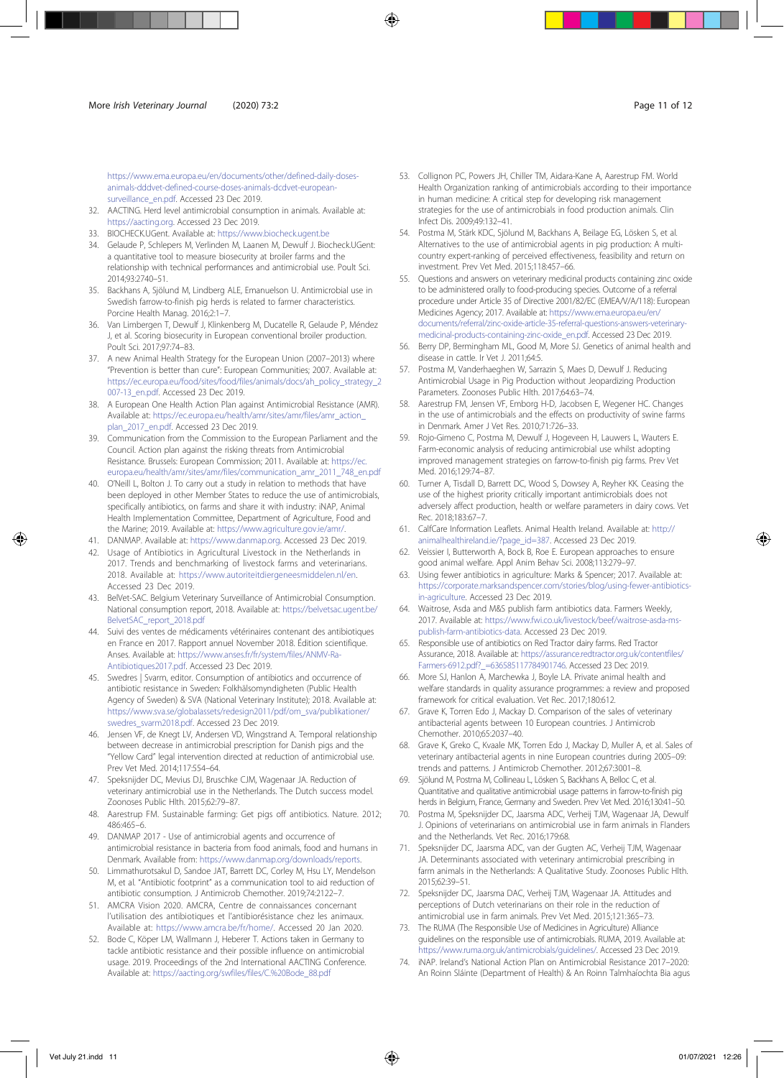https://www.ema.europa.eu/en/documents/other/defined-daily-dosesanimals-dddvet-defined-course-doses-animals-dcdvet-europeansurveillance\_en.pdf. Accessed 23 Dec 2019.

- 32. AACTING. Herd level antimicrobial consumption in animals. Available at: https://aacting.org. Accessed 23 Dec 2019.
- 33. BIOCHECK.UGent. Available at: https://www.biocheck.ugent.be
- 34. Gelaude P, Schlepers M, Verlinden M, Laanen M, Dewulf J. Biocheck.UGent: a quantitative tool to measure biosecurity at broiler farms and the relationship with technical performances and antimicrobial use. Poult Sci. 2014;93:2740–51.
- 35. Backhans A, Sjölund M, Lindberg ALE, Emanuelson U. Antimicrobial use in Swedish farrow-to-finish pig herds is related to farmer characteristics. Porcine Health Manag. 2016;2:1–7.
- 36. Van Limbergen T, Dewulf J, Klinkenberg M, Ducatelle R, Gelaude P, Méndez J, et al. Scoring biosecurity in European conventional broiler production. Poult Sci. 2017;97:74–83.
- 37. A new Animal Health Strategy for the European Union (2007–2013) where "Prevention is better than cure": European Communities; 2007. Available at: https://ec.europa.eu/food/sites/food/files/animals/docs/ah\_policy\_strategy\_2 007-13\_en.pdf. Accessed 23 Dec 2019.
- 38. A European One Health Action Plan against Antimicrobial Resistance (AMR). Available at: https://ec.europa.eu/health/amr/sites/amr/files/amr\_action\_ plan\_2017\_en.pdf. Accessed 23 Dec 2019.
- 39. Communication from the Commission to the European Parliament and the Council. Action plan against the risking threats from Antimicrobial Resistance. Brussels: European Commission; 2011. Available at: https://ec. europa.eu/health/amr/sites/amr/files/communication\_amr\_2011\_748\_en.pdf
- 40. O'Neill L, Bolton J. To carry out a study in relation to methods that have been deployed in other Member States to reduce the use of antimicrobials, specifically antibiotics, on farms and share it with industry: iNAP, Animal Health Implementation Committee, Department of Agriculture, Food and the Marine; 2019. Available at: https://www.agriculture.gov.ie/amr/.
- 41. DANMAP. Available at: https://www.danmap.org. Accessed 23 Dec 2019.
- 42. Usage of Antibiotics in Agricultural Livestock in the Netherlands in 2017. Trends and benchmarking of livestock farms and veterinarians. 2018. Available at: https://www.autoriteitdiergeneesmiddelen.nl/en. Accessed 23 Dec 2019.
- 43. BelVet-SAC. Belgium Veterinary Surveillance of Antimicrobial Consumption. National consumption report, 2018. Available at: https://belvetsac.ugent.be/ BelvetSAC\_report\_2018.pdf
- 44. Suivi des ventes de médicaments vétérinaires contenant des antibiotiques en France en 2017. Rapport annuel November 2018. Édition scientifique. Anses. Available at: https://www.anses.fr/fr/system/files/ANMV-Ra-Antibiotiques2017.pdf. Accessed 23 Dec 2019.
- 45. Swedres | Svarm, editor. Consumption of antibiotics and occurrence of antibiotic resistance in Sweden: Folkhälsomyndigheten (Public Health Agency of Sweden) & SVA (National Veterinary Institute); 2018. Available at: https://www.sva.se/globalassets/redesign2011/pdf/om\_sva/publikationer/ swedres\_svarm2018.pdf. Accessed 23 Dec 2019.
- 46. Jensen VF, de Knegt LV, Andersen VD, Wingstrand A. Temporal relationship between decrease in antimicrobial prescription for Danish pigs and the "Yellow Card" legal intervention directed at reduction of antimicrobial use. Prev Vet Med. 2014;117:554–64.
- Speksnijder DC, Mevius DJ, Bruschke CJM, Wagenaar JA. Reduction of veterinary antimicrobial use in the Netherlands. The Dutch success model. Zoonoses Public Hlth. 2015;62:79–87.
- 48. Aarestrup FM. Sustainable farming: Get pigs off antibiotics. Nature. 2012; 486:465–6.
- 49. DANMAP 2017 Use of antimicrobial agents and occurrence of antimicrobial resistance in bacteria from food animals, food and humans in Denmark. Available from: https://www.danmap.org/downloads/reports.
- 50. Limmathurotsakul D, Sandoe JAT, Barrett DC, Corley M, Hsu LY, Mendelson M, et al. "Antibiotic footprint" as a communication tool to aid reduction of antibiotic consumption. J Antimicrob Chemother. 2019;74:2122–7.
- 51. AMCRA Vision 2020. AMCRA, Centre de connaissances concernant l'utilisation des antibiotiques et l'antibiorésistance chez les animaux. Available at: https://www.amcra.be/fr/home/. Accessed 20 Jan 2020.
- 52. Bode C, Köper LM, Wallmann J, Heberer T. Actions taken in Germany to tackle antibiotic resistance and their possible influence on antimicrobial usage. 2019. Proceedings of the 2nd International AACTING Conference. Available at: https://aacting.org/swfiles/files/C.%20Bode\_88.pdf
- 53. Collignon PC, Powers JH, Chiller TM, Aidara-Kane A, Aarestrup FM. World Health Organization ranking of antimicrobials according to their importance in human medicine: A critical step for developing risk management strategies for the use of antimicrobials in food production animals. Clin
- Infect Dis. 2009;49:132–41. 54. Postma M, Stärk KDC, Sjölund M, Backhans A, Beilage EG, Lösken S, et al. Alternatives to the use of antimicrobial agents in pig production: A multicountry expert-ranking of perceived effectiveness, feasibility and return on investment. Prev Vet Med. 2015;118:457–66.
- 55. Questions and answers on veterinary medicinal products containing zinc oxide to be administered orally to food-producing species. Outcome of a referral procedure under Article 35 of Directive 2001/82/EC (EMEA/V/A/118): European Medicines Agency; 2017. Available at: https://www.ema.europa.eu/en/ documents/referral/zinc-oxide-article-35-referral-questions-answers-veterinarymedicinal-products-containing-zinc-oxide\_en.pdf. Accessed 23 Dec 2019.
- 56. Berry DP, Bermingham ML, Good M, More SJ. Genetics of animal health and disease in cattle. Ir Vet J. 2011;64:5.
- 57. Postma M, Vanderhaeghen W, Sarrazin S, Maes D, Dewulf J. Reducing Antimicrobial Usage in Pig Production without Jeopardizing Production Parameters. Zoonoses Public Hlth. 2017;64:63–74.
- 58. Aarestrup FM, Jensen VF, Emborg H-D, Jacobsen E, Wegener HC. Changes in the use of antimicrobials and the effects on productivity of swine farms in Denmark. Amer J Vet Res. 2010;71:726–33.
- Rojo-Gimeno C, Postma M, Dewulf J, Hogeveen H, Lauwers L, Wauters E. Farm-economic analysis of reducing antimicrobial use whilst adopting improved management strategies on farrow-to-finish pig farms. Prev Vet Med. 2016;129:74–87.
- 60. Turner A, Tisdall D, Barrett DC, Wood S, Dowsey A, Reyher KK. Ceasing the use of the highest priority critically important antimicrobials does not adversely affect production, health or welfare parameters in dairy cows. Vet Rec. 2018;183:67–7.
- 61. CalfCare Information Leaflets. Animal Health Ireland. Available at: http:// animalhealthireland.ie/?page\_id=387. Accessed 23 Dec 2019.
- 62. Veissier I, Butterworth A, Bock B, Roe E. European approaches to ensure good animal welfare. Appl Anim Behav Sci. 2008;113:279–97.
- 63. Using fewer antibiotics in agriculture: Marks & Spencer; 2017. Available at: https://corporate.marksandspencer.com/stories/blog/using-fewer-antibioticsin-agriculture. Accessed 23 Dec 2019.
- 64. Waitrose, Asda and M&S publish farm antibiotics data. Farmers Weekly, 2017. Available at: https://www.fwi.co.uk/livestock/beef/waitrose-asda-mspublish-farm-antibiotics-data. Accessed 23 Dec 2019.
- Responsible use of antibiotics on Red Tractor dairy farms. Red Tractor Assurance, 2018. Available at: https://assurance.redtractor.org.uk/contentfiles/ Farmers-6912.pdf?\_=636585117784901746. Accessed 23 Dec 2019.
- 66. More SJ, Hanlon A, Marchewka J, Boyle LA. Private animal health and welfare standards in quality assurance programmes: a review and proposed framework for critical evaluation. Vet Rec. 2017;180:612.
- 67. Grave K, Torren Edo J, Mackay D. Comparison of the sales of veterinary antibacterial agents between 10 European countries. J Antimicrob Chemother. 2010;65:2037–40.
- 68. Grave K, Greko C, Kvaale MK, Torren Edo J, Mackay D, Muller A, et al. Sales of veterinary antibacterial agents in nine European countries during 2005–09: trends and patterns. J Antimicrob Chemother. 2012;67:3001–8.
- Sjölund M, Postma M, Collineau L, Lösken S, Backhans A, Belloc C, et al. Quantitative and qualitative antimicrobial usage patterns in farrow-to-finish pig herds in Belgium, France, Germany and Sweden. Prev Vet Med. 2016;130:41–50.
- 70. Postma M, Speksnijder DC, Jaarsma ADC, Verheij TJM, Wagenaar JA, Dewulf J. Opinions of veterinarians on antimicrobial use in farm animals in Flanders and the Netherlands. Vet Rec. 2016;179:68.
- 71. Speksnijder DC, Jaarsma ADC, van der Gugten AC, Verheij TJM, Wagenaar JA. Determinants associated with veterinary antimicrobial prescribing in farm animals in the Netherlands: A Qualitative Study. Zoonoses Public Hlth. 2015;62:39–51.
- 72. Speksnijder DC, Jaarsma DAC, Verheij TJM, Wagenaar JA. Attitudes and perceptions of Dutch veterinarians on their role in the reduction of antimicrobial use in farm animals. Prev Vet Med. 2015;121:365–73.
- 73. The RUMA (The Responsible Use of Medicines in Agriculture) Alliance guidelines on the responsible use of antimicrobials. RUMA, 2019. Available at: https://www.ruma.org.uk/antimicrobials/guidelines/. Accessed 23 Dec 2019.
- 74. iNAP. Ireland's National Action Plan on Antimicrobial Resistance 2017–2020: An Roinn Sláinte (Department of Health) & An Roinn Talmhaíochta Bia agus